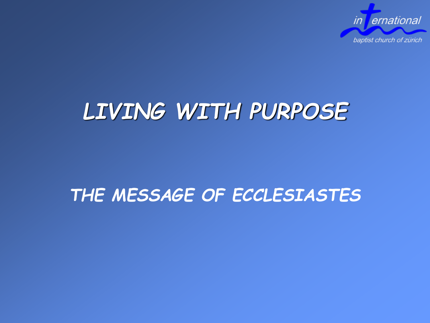

## *LIVING WITH PURPOSE*

#### *THE MESSAGE OF ECCLESIASTES*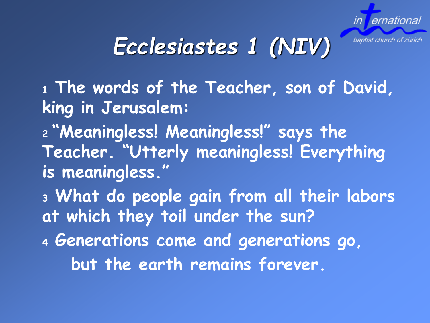

baptist church of zürich

# *Ecclesiastes 1 (NIV)*

**<sup>1</sup> The words of the Teacher, son of David, king in Jerusalem:**

**<sup>2</sup> "Meaningless! Meaningless!" says the Teacher. "Utterly meaningless! Everything is meaningless."**

**<sup>3</sup> What do people gain from all their labors at which they toil under the sun?**

**<sup>4</sup> Generations come and generations go, but the earth remains forever.**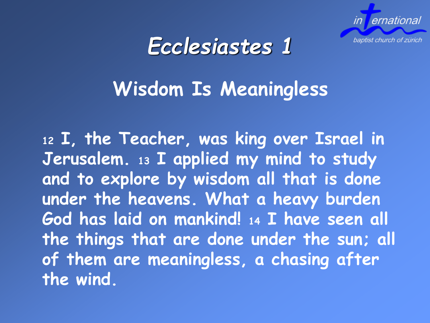



### **Wisdom Is Meaningless**

**<sup>12</sup> I, the Teacher, was king over Israel in Jerusalem. <sup>13</sup> I applied my mind to study and to explore by wisdom all that is done under the heavens. What a heavy burden God has laid on mankind! <sup>14</sup> I have seen all the things that are done under the sun; all of them are meaningless, a chasing after the wind.**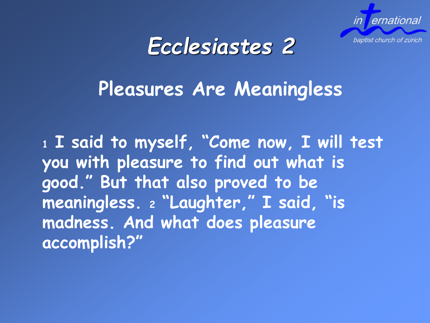



### **Pleasures Are Meaningless**

**<sup>1</sup> I said to myself, "Come now, I will test you with pleasure to find out what is good." But that also proved to be meaningless. <sup>2</sup> "Laughter," I said, "is madness. And what does pleasure accomplish?"**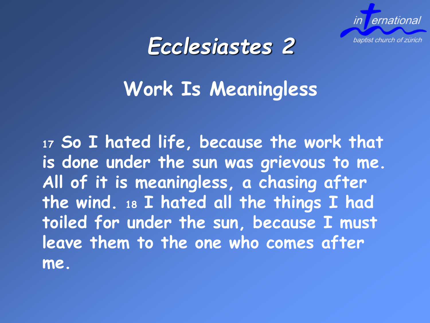



### **Work Is Meaningless**

**<sup>17</sup> So I hated life, because the work that is done under the sun was grievous to me. All of it is meaningless, a chasing after the wind. <sup>18</sup> I hated all the things I had toiled for under the sun, because I must leave them to the one who comes after me.**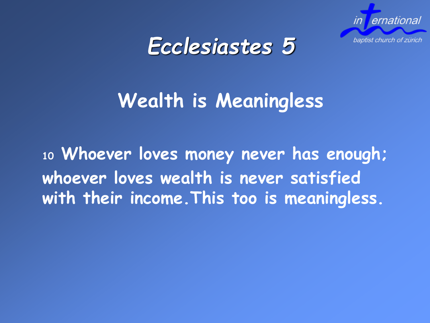



### **Wealth is Meaningless**

**<sup>10</sup> Whoever loves money never has enough; whoever loves wealth is never satisfied with their income.This too is meaningless.**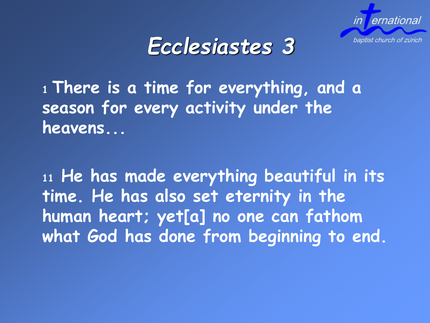



**<sup>1</sup>There is a time for everything, and a season for every activity under the heavens...**

**<sup>11</sup> He has made everything beautiful in its time. He has also set eternity in the human heart; yet[a] no one can fathom what God has done from beginning to end.**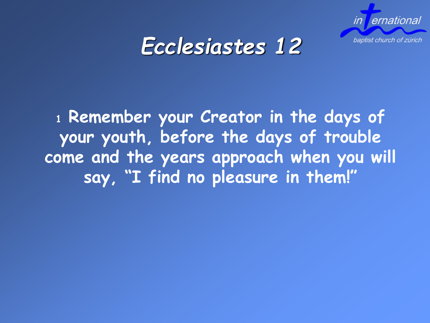

### *Ecclesiastes 12*

**<sup>1</sup> Remember your Creator in the days of your youth, before the days of trouble come and the years approach when you will say, "I find no pleasure in them!"**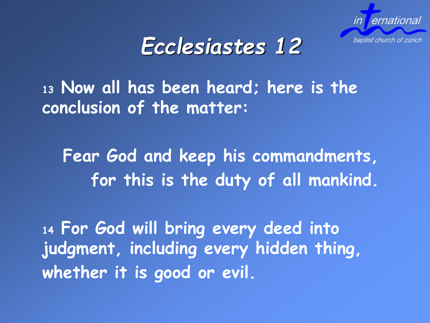

### *Ecclesiastes 12*

**<sup>13</sup> Now all has been heard; here is the conclusion of the matter:**

**Fear God and keep his commandments, for this is the duty of all mankind.**

**<sup>14</sup> For God will bring every deed into judgment, including every hidden thing, whether it is good or evil.**